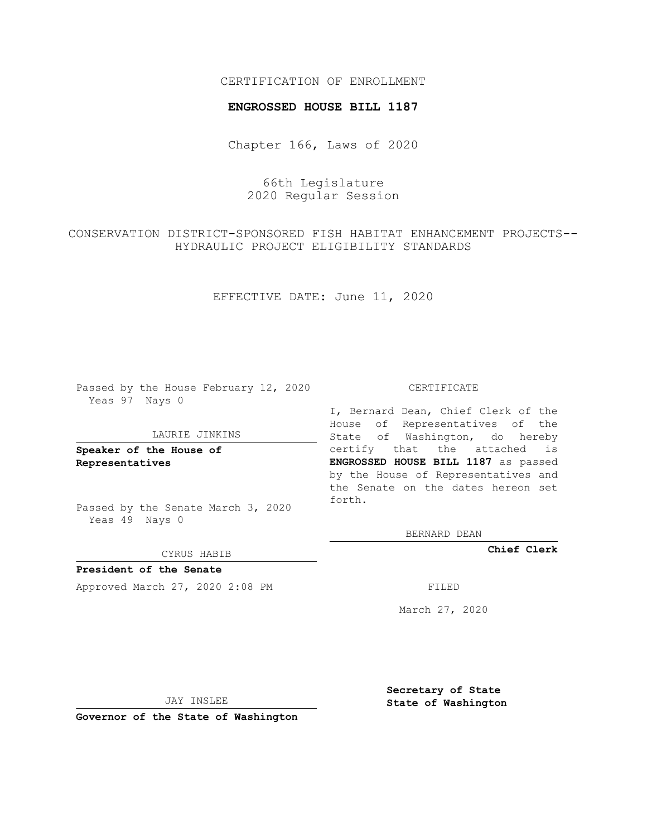## CERTIFICATION OF ENROLLMENT

### **ENGROSSED HOUSE BILL 1187**

Chapter 166, Laws of 2020

# 66th Legislature 2020 Regular Session

CONSERVATION DISTRICT-SPONSORED FISH HABITAT ENHANCEMENT PROJECTS-- HYDRAULIC PROJECT ELIGIBILITY STANDARDS

EFFECTIVE DATE: June 11, 2020

Passed by the House February 12, 2020 Yeas 97 Nays 0

#### LAURIE JINKINS

**Speaker of the House of Representatives**

Passed by the Senate March 3, 2020 Yeas 49 Nays 0

#### CYRUS HABIB

**President of the Senate** Approved March 27, 2020 2:08 PM FILED

#### CERTIFICATE

I, Bernard Dean, Chief Clerk of the House of Representatives of the State of Washington, do hereby certify that the attached is **ENGROSSED HOUSE BILL 1187** as passed by the House of Representatives and the Senate on the dates hereon set forth.

BERNARD DEAN

**Chief Clerk**

March 27, 2020

JAY INSLEE

**Governor of the State of Washington**

**Secretary of State State of Washington**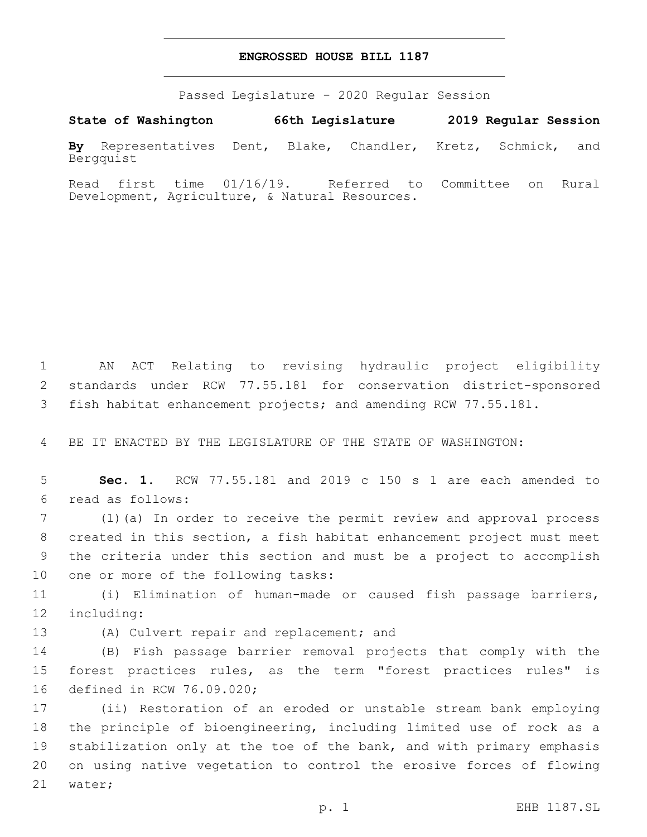## **ENGROSSED HOUSE BILL 1187**

Passed Legislature - 2020 Regular Session

**State of Washington 66th Legislature 2019 Regular Session By** Representatives Dent, Blake, Chandler, Kretz, Schmick, and Bergquist

Read first time 01/16/19. Referred to Committee on Rural Development, Agriculture, & Natural Resources.

1 AN ACT Relating to revising hydraulic project eligibility 2 standards under RCW 77.55.181 for conservation district-sponsored 3 fish habitat enhancement projects; and amending RCW 77.55.181.

4 BE IT ENACTED BY THE LEGISLATURE OF THE STATE OF WASHINGTON:

5 **Sec. 1.** RCW 77.55.181 and 2019 c 150 s 1 are each amended to read as follows:6

 (1)(a) In order to receive the permit review and approval process created in this section, a fish habitat enhancement project must meet the criteria under this section and must be a project to accomplish 10 one or more of the following tasks:

11 (i) Elimination of human-made or caused fish passage barriers, 12 including:

13 (A) Culvert repair and replacement; and

14 (B) Fish passage barrier removal projects that comply with the 15 forest practices rules, as the term "forest practices rules" is 16 defined in RCW 76.09.020;

 (ii) Restoration of an eroded or unstable stream bank employing the principle of bioengineering, including limited use of rock as a stabilization only at the toe of the bank, and with primary emphasis on using native vegetation to control the erosive forces of flowing 21 water;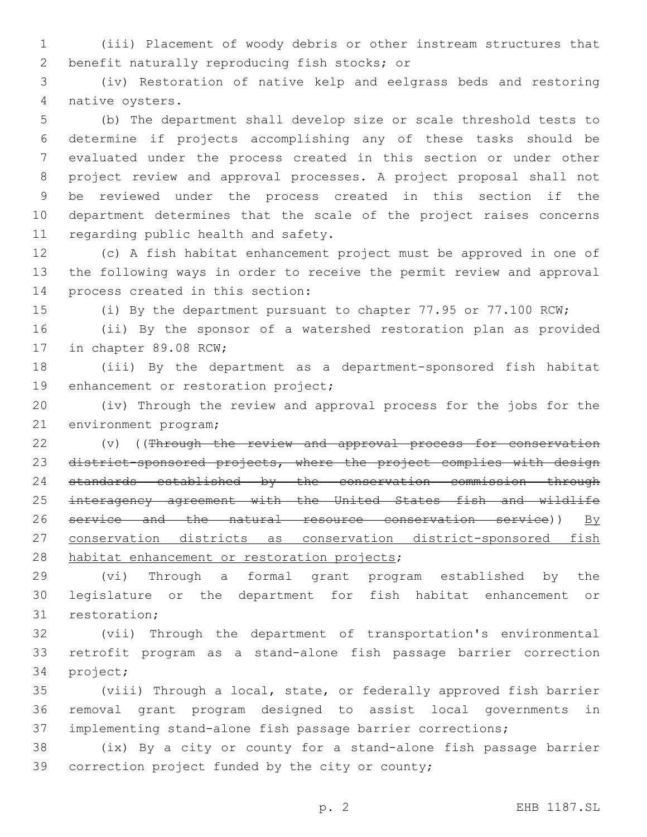(iii) Placement of woody debris or other instream structures that 2 benefit naturally reproducing fish stocks; or

 (iv) Restoration of native kelp and eelgrass beds and restoring 4 native oysters.

 (b) The department shall develop size or scale threshold tests to determine if projects accomplishing any of these tasks should be evaluated under the process created in this section or under other project review and approval processes. A project proposal shall not be reviewed under the process created in this section if the department determines that the scale of the project raises concerns 11 regarding public health and safety.

 (c) A fish habitat enhancement project must be approved in one of the following ways in order to receive the permit review and approval 14 process created in this section:

(i) By the department pursuant to chapter 77.95 or 77.100 RCW;

 (ii) By the sponsor of a watershed restoration plan as provided 17 in chapter 89.08 RCW;

 (iii) By the department as a department-sponsored fish habitat 19 enhancement or restoration project;

 (iv) Through the review and approval process for the jobs for the 21 environment program;

22 (v) ((Through the review and approval process for conservation 23 district-sponsored projects, where the project complies with design standards established by the conservation commission through interagency agreement with the United States fish and wildlife 26 service and the natural resource conservation service))  $By$  conservation districts as conservation district-sponsored fish 28 habitat enhancement or restoration projects;

 (vi) Through a formal grant program established by the legislature or the department for fish habitat enhancement or 31 restoration;

 (vii) Through the department of transportation's environmental retrofit program as a stand-alone fish passage barrier correction 34 project;

 (viii) Through a local, state, or federally approved fish barrier removal grant program designed to assist local governments in implementing stand-alone fish passage barrier corrections;

 (ix) By a city or county for a stand-alone fish passage barrier 39 correction project funded by the city or county;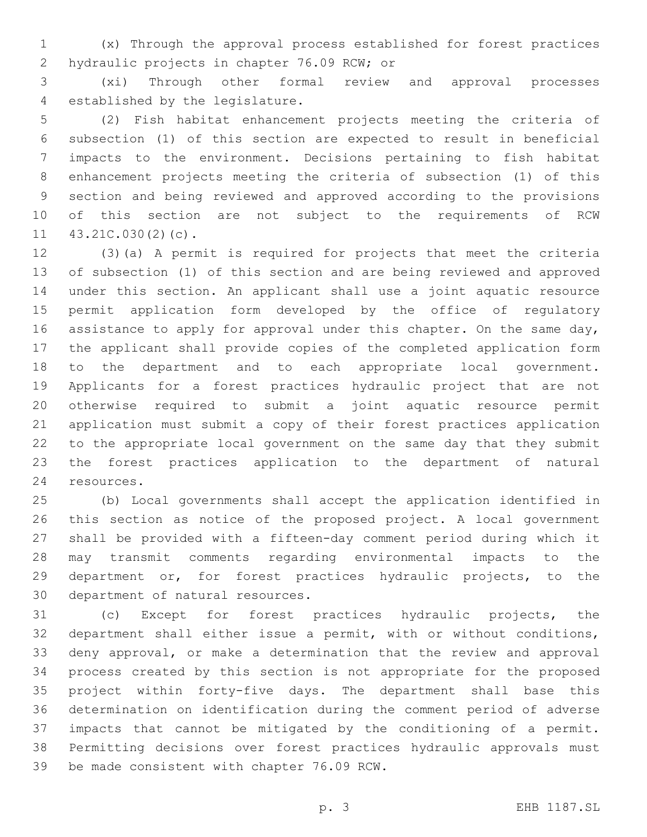(x) Through the approval process established for forest practices 2 hydraulic projects in chapter 76.09 RCW; or

 (xi) Through other formal review and approval processes 4 established by the legislature.

 (2) Fish habitat enhancement projects meeting the criteria of subsection (1) of this section are expected to result in beneficial impacts to the environment. Decisions pertaining to fish habitat enhancement projects meeting the criteria of subsection (1) of this section and being reviewed and approved according to the provisions of this section are not subject to the requirements of RCW  $11 \quad 43.21C.030(2)(c)$ .

 (3)(a) A permit is required for projects that meet the criteria of subsection (1) of this section and are being reviewed and approved under this section. An applicant shall use a joint aquatic resource permit application form developed by the office of regulatory 16 assistance to apply for approval under this chapter. On the same day, the applicant shall provide copies of the completed application form to the department and to each appropriate local government. Applicants for a forest practices hydraulic project that are not otherwise required to submit a joint aquatic resource permit application must submit a copy of their forest practices application to the appropriate local government on the same day that they submit the forest practices application to the department of natural 24 resources.

 (b) Local governments shall accept the application identified in this section as notice of the proposed project. A local government shall be provided with a fifteen-day comment period during which it may transmit comments regarding environmental impacts to the department or, for forest practices hydraulic projects, to the 30 department of natural resources.

 (c) Except for forest practices hydraulic projects, the department shall either issue a permit, with or without conditions, deny approval, or make a determination that the review and approval process created by this section is not appropriate for the proposed project within forty-five days. The department shall base this determination on identification during the comment period of adverse impacts that cannot be mitigated by the conditioning of a permit. Permitting decisions over forest practices hydraulic approvals must 39 be made consistent with chapter 76.09 RCW.